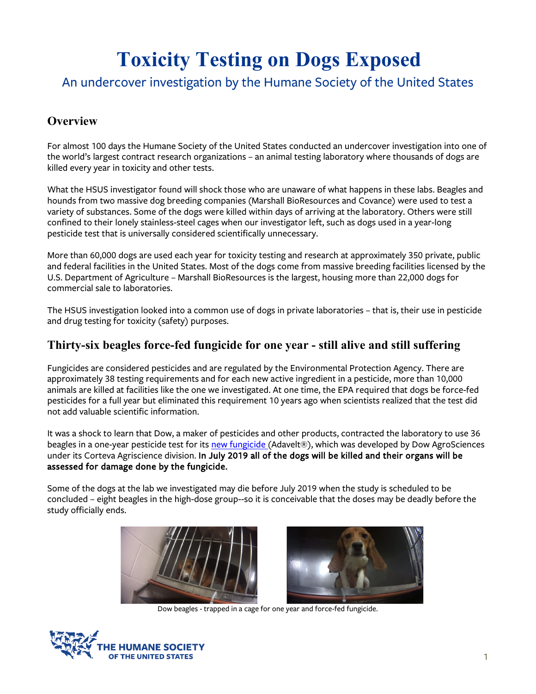# **Toxicity Testing on Dogs Exposed**

# An undercover investigation by the Humane Society of the United States

# **Overview**

For almost 100 days the Humane Society of the United States conducted an undercover investigation into one of the world's largest contract research organizations – an animal testing laboratory where thousands of dogs are killed every year in toxicity and other tests.

What the HSUS investigator found will shock those who are unaware of what happens in these labs. Beagles and hounds from two massive dog breeding companies (Marshall BioResources and Covance) were used to test a variety of substances. Some of the dogs were killed within days of arriving at the laboratory. Others were still confined to their lonely stainless-steel cages when our investigator left, such as dogs used in a year-long pesticide test that is universally considered scientifically unnecessary.

More than 60,000 dogs are used each year for toxicity testing and research at approximately 350 private, public and federal facilities in the United States. Most of the dogs come from massive breeding facilities licensed by the U.S. Department of Agriculture – Marshall BioResources is the largest, housing more than 22,000 dogs for commercial sale to laboratories.

The HSUS investigation looked into a common use of dogs in private laboratories – that is, their use in pesticide and drug testing for toxicity (safety) purposes.

#### **Thirty-six beagles force-fed fungicide for one year - still alive and still suffering**

Fungicides are considered pesticides and are regulated by the Environmental Protection Agency. There are approximately 38 testing requirements and for each new active ingredient in a pesticide, more than 10,000 animals are killed at facilities like the one we investigated. At one time, the EPA required that dogs be force-fed pesticides for a full year but eliminated this requirement 10 years ago when scientists realized that the test did not add valuable scientific information.

It was a shock to learn that Dow, a maker of pesticides and other products, contracted the laboratory to use 36 beagles in a one-year pesticide test for its [new fungicide \(](https://www.prnewswire.com/news-releases/corteva-agriscience-agriculture-division-of-dowdupont-announces-adavelt-active-300746455.html)Adavelt®), which was developed by Dow AgroSciences under its Corteva Agriscience division. In July 2019 all of the dogs will be killed and their organs will be assessed for damage done by the fungicide.

Some of the dogs at the lab we investigated may die before July 2019 when the study is scheduled to be concluded – eight beagles in the high-dose group--so it is conceivable that the doses may be deadly before the study officially ends.





Dow beagles - trapped in a cage for one year and force-fed fungicide.

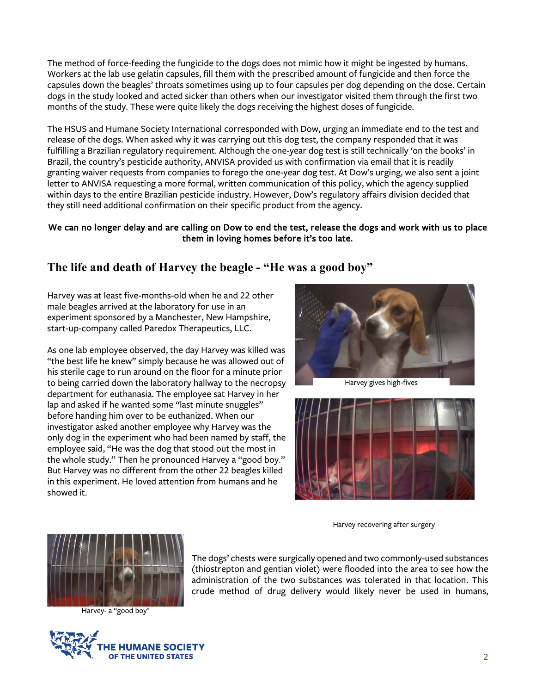The method of force-feeding the fungicide to the dogs does not mimic how it might be ingested by humans. Workers at the lab use gelatin capsules, fill them with the prescribed amount of fungicide and then force the capsules down the beagles' throats sometimes using up to four capsules per dog depending on the dose. Certain dogs in the study looked and acted sicker than others when our investigator visited them through the first two months of the study. These were quite likely the dogs receiving the highest doses of fungicide.

The HSUS and Humane Society International corresponded with Dow, urging an immediate end to the test and release of the dogs. When asked why it was carrying out this dog test, the company responded that it was fulfilling a Brazilian regulatory requirement. Although the one-year dog test is still technically 'on the books' in Brazil, the country's pesticide authority, ANVISA provided us with confirmation via email that it is readily granting waiver requests from companies to forego the one-year dog test. At Dow's urging, we also sent a joint letter to ANVISA requesting a more formal, written communication of this policy, which the agency supplied within days to the entire Brazilian pesticide industry. However, Dow's regulatory affairs division decided that they still need additional confirmation on their specific product from the agency.

#### We can no longer delay and are calling on Dow to end the test, release the dogs and work with us to place them in loving homes before it's too late.

#### **The life and death of Harvey the beagle - "He was a good boy"**

Harvey was at least five-months-old when he and 22 other male beagles arrived at the laboratory for use in an experiment sponsored by a Manchester, New Hampshire, start-up-company called Paredox Therapeutics, LLC.

As one lab employee observed, the day Harvey was killed was "the best life he knew" simply because he was allowed out of his sterile cage to run around on the floor for a minute prior to being carried down the laboratory hallway to the necropsy department for euthanasia. The employee sat Harvey in her lap and asked if he wanted some "last minute snuggles" before handing him over to be euthanized. When our investigator asked another employee why Harvey was the only dog in the experiment who had been named by staff, the employee said, "He was the dog that stood out the most in the whole study." Then he pronounced Harvey a "good boy." But Harvey was no different from the other 22 beagles killed in this experiment. He loved attention from humans and he showed it.



Harvey gives high-fives



Harvey recovering after surgery



Harvey- a "good boy"



The dogs' chests were surgically opened and two commonly-used substances (thiostrepton and gentian violet) were flooded into the area to see how the administration of the two substances was tolerated in that location. This crude method of drug delivery would likely never be used in humans,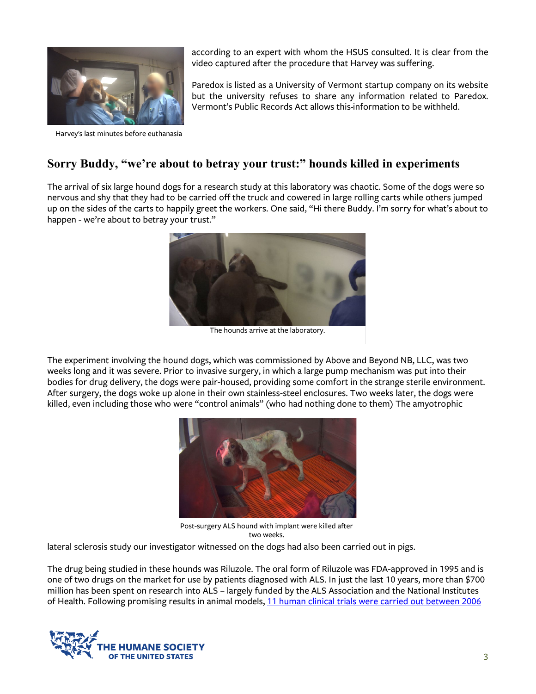

Harvey's last minutes before euthanasia

according to an expert with whom the HSUS consulted. It is clear from the video captured after the procedure that Harvey was suffering.

Paredox is listed as a University of Vermont startup company on its website but the university refuses to share any information related to Paredox. Vermont's Public Records Act allows this information to be withheld.

## **Sorry Buddy, "we're about to betray your trust:" hounds killed in experiments**

The arrival of six large hound dogs for a research study at this laboratory was chaotic. Some of the dogs were so nervous and shy that they had to be carried off the truck and cowered in large rolling carts while others jumped up on the sides of the carts to happily greet the workers. One said, "Hi there Buddy. I'm sorry for what's about to happen - we're about to betray your trust."



The hounds arrive at the laboratory.

The experiment involving the hound dogs, which was commissioned by Above and Beyond NB, LLC, was two weeks long and it was severe. Prior to invasive surgery, in which a large pump mechanism was put into their bodies for drug delivery, the dogs were pair-housed, providing some comfort in the strange sterile environment. After surgery, the dogs woke up alone in their own stainless-steel enclosures. Two weeks later, the dogs were killed, even including those who were "control animals" (who had nothing done to them) The amyotrophic



Post-surgery ALS hound with implant were killed after two weeks.

lateral sclerosis study our investigator witnessed on the dogs had also been carried out in pigs.

The drug being studied in these hounds was Riluzole. The oral form of Riluzole was FDA-approved in 1995 and is one of two drugs on the market for use by patients diagnosed with ALS. In just the last 10 years, more than \$700 million has been spent on research into ALS – largely funded by the ALS Association and the National Institutes of Health. Following promising results in animal models, [11 human clinical trials were carried out between 2006](http://csmres.co.uk/cs.public.upd/article-downloads/A-look-into-the-future-of-ALS-research.pdf) 

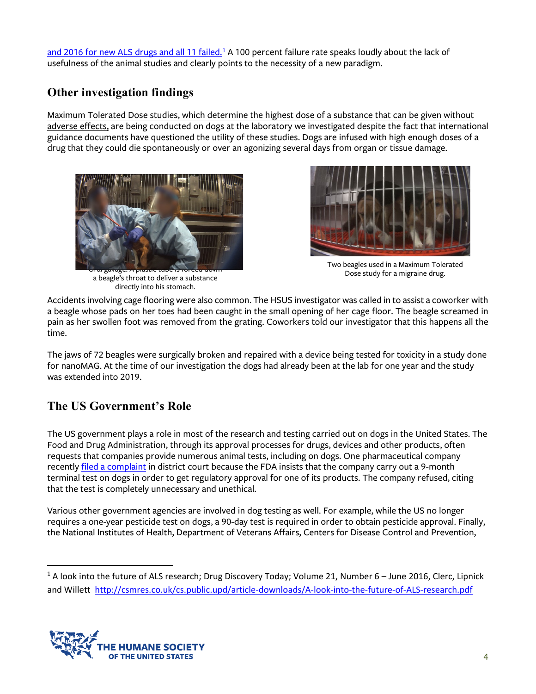[and 2016 for new ALS drugs](http://csmres.co.uk/cs.public.upd/article-downloads/A-look-into-the-future-of-ALS-research.pdf) and all [1](#page-3-0)1 failed.<sup>1</sup> A 100 percent failure rate speaks loudly about the lack of usefulness of the animal studies and clearly points to the necessity of a new paradigm.

# **Other investigation findings**

Maximum Tolerated Dose studies, which determine the highest dose of a substance that can be given without adverse effects, are being conducted on dogs at the laboratory we investigated despite the fact that international guidance documents have questioned the utility of these studies. Dogs are infused with high enough doses of a drug that they could die spontaneously or over an agonizing several days from organ or tissue damage.







Two beagles used in a Maximum Tolerated Dose study for a migraine drug.

Accidents involving cage flooring were also common. The HSUS investigator was called in to assist a coworker with a beagle whose pads on her toes had been caught in the small opening of her cage floor. The beagle screamed in pain as her swollen foot was removed from the grating. Coworkers told our investigator that this happens all the time.

The jaws of 72 beagles were surgically broken and repaired with a device being tested for toxicity in a study done for nanoMAG. At the time of our investigation the dogs had already been at the lab for one year and the study was extended into 2019.

# **The US Government's Role**

The US government plays a role in most of the research and testing carried out on dogs in the United States. The Food and Drug Administration, through its approval processes for drugs, devices and other products, often requests that companies provide numerous animal tests, including on dogs. One pharmaceutical company recently [filed a complaint](https://www.prnewswire.com/news-releases/vanda-pharmaceuticals-takes-a-stand-against-unnecessary-animal-research-300790323.html) in district court because the FDA insists that the company carry out a 9-month terminal test on dogs in order to get regulatory approval for one of its products. The company refused, citing that the test is completely unnecessary and unethical.

Various other government agencies are involved in dog testing as well. For example, while the US no longer requires a one-year pesticide test on dogs, a 90-day test is required in order to obtain pesticide approval. Finally, the National Institutes of Health, Department of Veterans Affairs, Centers for Disease Control and Prevention,

<span id="page-3-0"></span> $1$  A look into the future of ALS research; Drug Discovery Today; Volume 21, Number 6 – June 2016, Clerc, Lipnick and Willett <http://csmres.co.uk/cs.public.upd/article-downloads/A-look-into-the-future-of-ALS-research.pdf>